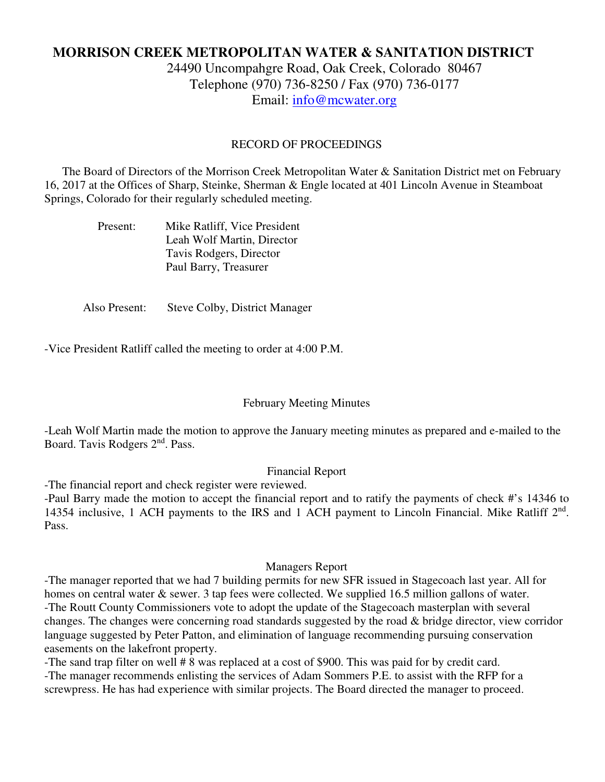# **MORRISON CREEK METROPOLITAN WATER & SANITATION DISTRICT**

24490 Uncompahgre Road, Oak Creek, Colorado 80467 Telephone (970) 736-8250 / Fax (970) 736-0177 Email: info@mcwater.org

#### RECORD OF PROCEEDINGS

 The Board of Directors of the Morrison Creek Metropolitan Water & Sanitation District met on February 16, 2017 at the Offices of Sharp, Steinke, Sherman & Engle located at 401 Lincoln Avenue in Steamboat Springs, Colorado for their regularly scheduled meeting.

| Present: | Mike Ratliff, Vice President |
|----------|------------------------------|
|          | Leah Wolf Martin, Director   |
|          | Tavis Rodgers, Director      |
|          | Paul Barry, Treasurer        |

Also Present: Steve Colby, District Manager

-Vice President Ratliff called the meeting to order at 4:00 P.M.

#### February Meeting Minutes

-Leah Wolf Martin made the motion to approve the January meeting minutes as prepared and e-mailed to the Board. Tavis Rodgers 2nd. Pass.

#### Financial Report

-The financial report and check register were reviewed.

-Paul Barry made the motion to accept the financial report and to ratify the payments of check #'s 14346 to 14354 inclusive, 1 ACH payments to the IRS and 1 ACH payment to Lincoln Financial. Mike Ratliff 2<sup>nd</sup>. Pass.

#### Managers Report

-The manager reported that we had 7 building permits for new SFR issued in Stagecoach last year. All for homes on central water & sewer. 3 tap fees were collected. We supplied 16.5 million gallons of water. -The Routt County Commissioners vote to adopt the update of the Stagecoach masterplan with several changes. The changes were concerning road standards suggested by the road & bridge director, view corridor language suggested by Peter Patton, and elimination of language recommending pursuing conservation easements on the lakefront property.

-The sand trap filter on well # 8 was replaced at a cost of \$900. This was paid for by credit card. -The manager recommends enlisting the services of Adam Sommers P.E. to assist with the RFP for a screwpress. He has had experience with similar projects. The Board directed the manager to proceed.